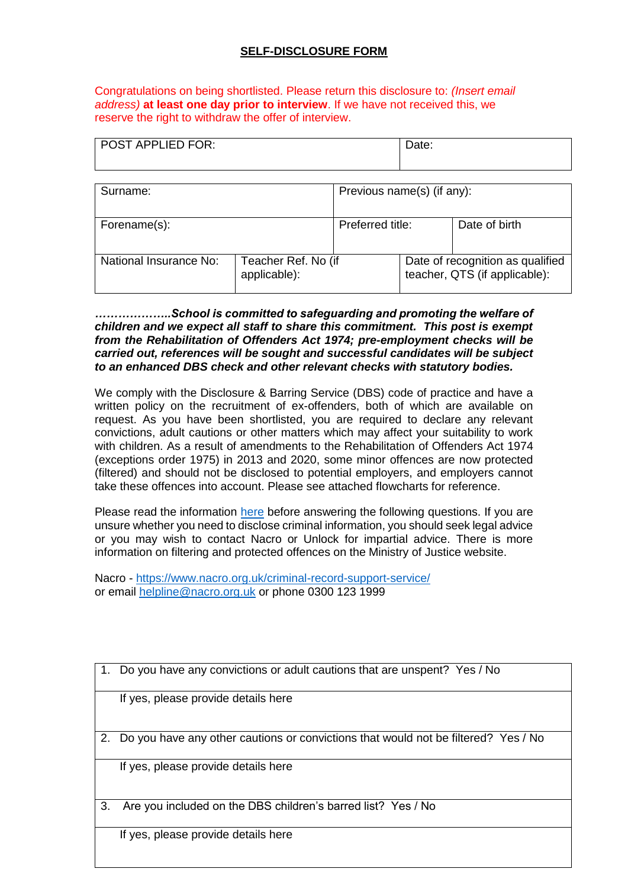## **SELF-DISCLOSURE FORM**

Congratulations on being shortlisted. Please return this disclosure to: *(Insert email address)* **at least one day prior to interview**. If we have not received this, we reserve the right to withdraw the offer of interview.

| <b>POST APPLIED FOR:</b> |                                     |                            | Date:                                                             |               |
|--------------------------|-------------------------------------|----------------------------|-------------------------------------------------------------------|---------------|
| Surname:                 |                                     | Previous name(s) (if any): |                                                                   |               |
| Forename(s):             |                                     | Preferred title:           |                                                                   | Date of birth |
| National Insurance No:   | Teacher Ref. No (if<br>applicable): |                            | Date of recognition as qualified<br>teacher, QTS (if applicable): |               |

## *………………..School is committed to safeguarding and promoting the welfare of children and we expect all staff to share this commitment. This post is exempt from the Rehabilitation of Offenders Act 1974; pre-employment checks will be carried out, references will be sought and successful candidates will be subject to an enhanced DBS check and other relevant checks with statutory bodies.*

We comply with the Disclosure & Barring Service (DBS) code of practice and have a written policy on the recruitment of ex-offenders, both of which are available on request. As you have been shortlisted, you are required to declare any relevant convictions, adult cautions or other matters which may affect your suitability to work with children. As a result of amendments to the Rehabilitation of Offenders Act 1974 (exceptions order 1975) in 2013 and 2020, some minor offences are now protected (filtered) and should not be disclosed to potential employers, and employers cannot take these offences into account. Please see attached flowcharts for reference.

Please read the information [here](https://3bx16p38bchl32s0e12di03h-wpengine.netdna-ssl.com/wp-content/uploads/2020/11/What-Criminal-Record-Info-Can-I-Obtain-FINAL.pdf) before answering the following questions. If you are unsure whether you need to disclose criminal information, you should seek legal advice or you may wish to contact Nacro or Unlock for impartial advice. There is more information on filtering and protected offences on the Ministry of Justice website.

Nacro - <https://www.nacro.org.uk/criminal-record-support-service/> or email [helpline@nacro.org.uk](mailto:helpline@nacro.org.uk) or phone 0300 123 1999

1. Do you have any convictions or adult cautions that are unspent? Yes / No

If yes, please provide details here

2. Do you have any other cautions or convictions that would not be filtered? Yes / No

If yes, please provide details here

3. Are you included on the DBS children's barred list? Yes / No

If yes, please provide details here